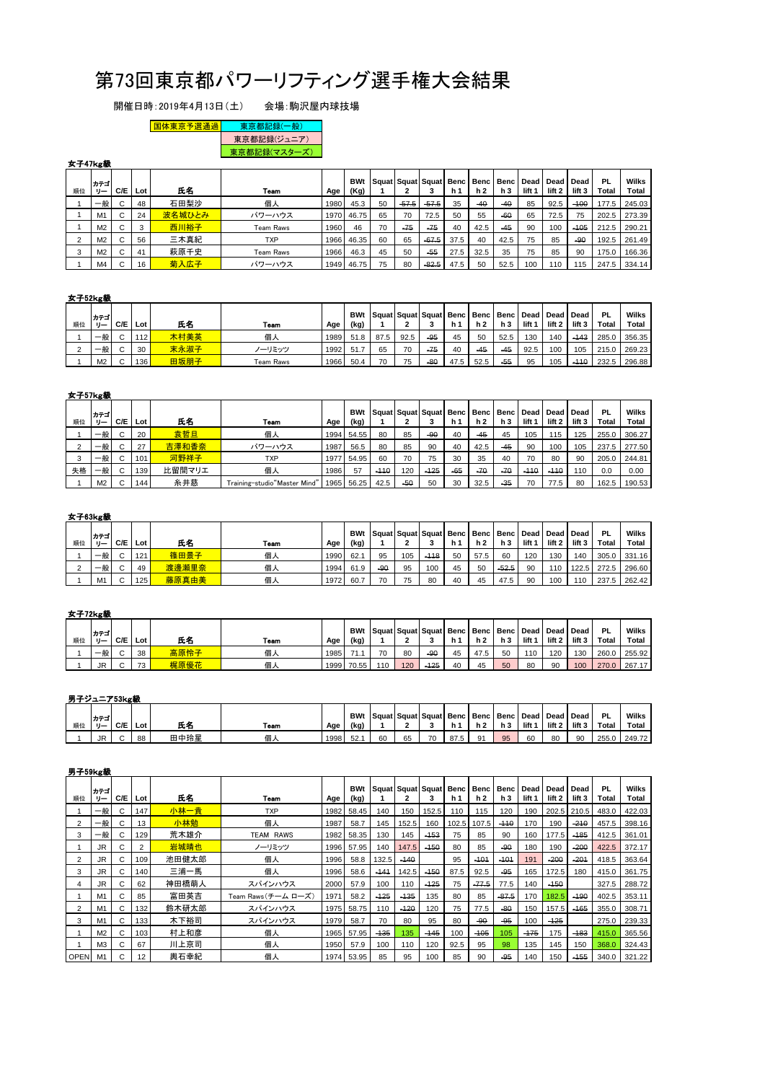# 第73回東京都パワーリフティング選手権大会結果

開催日時:2019年4月13日(土) 会場:駒沢屋内球技場

# EN体東京予選通過 東京都記録(一般)

| 東京都記録(ジュニア) | **東京都記録(マスターズ)** 

# 女子47kg級

|    | カテゴ            |     |                         |        |            |      | <b>BWt</b> | l Sauat I Sauat I Sauat I Benc |         |         |                |       | <b>Benc Benc</b> | Dead              | <b>Dead</b>       | Dead   | PL    | Wilks  |
|----|----------------|-----|-------------------------|--------|------------|------|------------|--------------------------------|---------|---------|----------------|-------|------------------|-------------------|-------------------|--------|-------|--------|
| 順位 | リー             | C/E | Lot                     | 氏名     | Team       | Age  | (Kg)       |                                |         | з       | h <sub>1</sub> | h 2   | h 3              | lift <sub>1</sub> | lift <sub>2</sub> | lift 3 | Total | Total  |
|    | 一般             | C   | 48                      | 石田梨沙   | 個人         | 1980 | 45.3       | 50                             | $-57.5$ | $-57.5$ | 35             | $-40$ | $-40$            | 85                | 92.5              | $-100$ | 177.5 | 245.03 |
|    | M <sub>1</sub> | C   | 24                      | 波名城ひとみ | パワーハウス     |      | 1970 46.75 | 65                             | 70      | 72.5    | 50             | 55    | $-60$            | 65                | 72.5              | 75     | 202.5 | 273.39 |
|    | M <sub>2</sub> | C   | $\mathbf{\Omega}$<br>د. | 西川裕子   | Team Raws  | 1960 | 46         | 70                             | $-75$   | $-75$   | 40             | 42.5  | $-45$            | 90                | 100               | $-105$ | 212.5 | 290.21 |
|    | M <sub>2</sub> | C   | 56                      | 三木真紀   | <b>TXP</b> |      | 1966 46.35 | 60                             | 65      | $-67.5$ | 37.5           | 40    | 42.5             | 75                | 85                | $-90$  | 192.5 | 261.49 |
|    | M <sub>2</sub> | C   | 41                      | 萩原千史   | Team Raws  | 1966 | 46.3       | 45                             | 50      | $-55$   | 27.5           | 32.5  | 35               | 75                | 85                | 90     | 175.0 | 166.36 |
|    | M <sub>4</sub> | C   | 16                      | 菊入広子   | パワーハウス     |      | 1949 46.75 | 75                             | 80      | $-82.5$ | 47.5           | 50    | 52.5             | 100               | 110               | 115    | 247.5 | 334.14 |

#### 女子52kg級

| 順位 | カテゴ<br>$H -$   | C/E    | Lot | 氏名   | Team      | Age  | <b>BWt</b><br>(kg) | Squat   Squat   Squat   Benc   Benc   Benc   Dead   Dead   Dead |      |       | h.   | h 2   | h 3   | lift | lift <sub>2</sub> | lift 3 | PL<br>Total | Wilks<br>Total |
|----|----------------|--------|-----|------|-----------|------|--------------------|-----------------------------------------------------------------|------|-------|------|-------|-------|------|-------------------|--------|-------------|----------------|
|    | 一般             | $\sim$ | 112 | 木村美英 | 個人        | 1989 | 51.8               | 87.5                                                            | 92.5 | $-95$ | 45   | 50    | 52.5  | 130  | 140               | $-143$ | 285.0       | 356.35         |
|    | 一般             | $\sim$ | 30  | 末永淑子 | ノーリミッツ    | 1992 | 51.7               | 65                                                              | 70   | $-75$ | 40   | $-45$ | $-45$ | 92.5 | 100               | 105    | 215.0       | 269.23         |
|    | M <sub>2</sub> | $\sim$ | 136 | 田坂朋子 | Team Raws | 1966 | 50.4               | 70                                                              | 75   | $-80$ | 47.5 | 52.5  | $-55$ | 95   | 105               | $-110$ | 232.5       | 296.88         |

#### 女子57kg級

|    | カテゴ            |             |     |        |                              |      | <b>BWt</b> | Squat Squat Squat Benc |       |        |       |       | <b>Benc Benc</b> | Dead   | Dead              | Dead   | PL    | Wilks  |
|----|----------------|-------------|-----|--------|------------------------------|------|------------|------------------------|-------|--------|-------|-------|------------------|--------|-------------------|--------|-------|--------|
| 順位 | IJ             | C/E         | Lot | 氏名     | Team                         | Age  | (kg)       |                        |       | -a     | h 1   | h 2   | h 3              | lift 1 | lift <sub>2</sub> | lift 3 | Total | Total  |
|    | 一般             | $\sim$      | 20  | 袁哲旦    | 個人                           |      | 1994 54.55 | 80                     | 85    | -90    | 40    | $-45$ | 45               | 105    | 115               | 125    | 255.0 | 306.27 |
|    | 一般             | $\sim$      | 27  | 吉澤和香奈  | パワーハウス                       | 1987 | 56.5       | 80                     | 85    | 90     | 40    | 42.5  | $-45$            | 90     | 100               | 105    | 237.5 | 277.50 |
|    | 一般             | $\sim$<br>◡ | 101 | 河野祥子   | <b>TXP</b>                   | 1977 | 54.95      | 60                     | 70    | 75     | 30    | 35    | 40               | 70     | 80                | 90     | 205.0 | 244.81 |
| 失格 | 一般             | $\sim$      | 139 | 比留間マリエ | 個人                           | 1986 | 57         | $-110$                 | 120   | $-125$ | $-65$ | $-70$ | $-70$            | $-110$ | $-110$            | 110    | 0.0   | 0.00   |
|    | M <sub>2</sub> | $\sim$      | 144 | 糸井慈    | Training-studio"Master Mind' | 965  | 56.25      | 42.5                   | $-50$ | 50     | 30    | 32.5  | $-35$            | 70     | 77.5              | 80     | 162.5 | 190.53 |

#### 女子63kg級

| 順位 | カテゴ<br>$1 -$   | C/E    | Lot | 氏名    | Team | Age  | <b>BWt</b><br>(kg) | Squat   Squat   Squat |     |        | Benc Benc<br>h <sub>1</sub> | h 2  | Benc Dead Dead<br>h 3 | lift <sub>1</sub> | lift 2 | Dead<br>lift 3 | РI<br>Total | Wilks<br><b>Total</b> |
|----|----------------|--------|-----|-------|------|------|--------------------|-----------------------|-----|--------|-----------------------------|------|-----------------------|-------------------|--------|----------------|-------------|-----------------------|
|    | 一般             | $\sim$ | 121 | 篠田景子  | 個人   | 1990 | 62.1               | 95                    | 105 | $-118$ | 50                          | 57.5 | 60                    | 120               | 130    | 140            | 305.0       | 331.16                |
|    | 一般             | $\sim$ | 49  | 渡邊瀬里奈 | 個人   | 1994 | 61.9               | $-90$                 | 95  | 100    | 45                          | 50   | $-52.5$               | 90                | 110    | 122.5          | 272.5       | 296.60                |
|    | M <sub>1</sub> | $\sim$ | 125 | 藤原真由美 | 個人   | 1972 | 60.7               | 70                    | 75  | 80     | 40                          | 45   | 47.5                  | 90                | 100    | $110^{-1}$     | 237.5       | 262.42                |

#### 女子72kg級

| 順位 | カテゴ<br>$-1$ | C/E    | Lot | 氏名   | Team | Age  | <b>BWt</b><br>(kg) |     |     | Squat Squat Squat Benc Benc Benc Dead Dead Dead |    | <b>h</b> 2 | h3 | lift <sub>1</sub> | lift 2 | lift 3 | <b>PL</b><br><b>Total</b> | Wilks<br><b>Total</b> |
|----|-------------|--------|-----|------|------|------|--------------------|-----|-----|-------------------------------------------------|----|------------|----|-------------------|--------|--------|---------------------------|-----------------------|
|    | 一般          | $\sim$ | 38  | 高原怜子 | 個人   | 1985 |                    | 70  | 80  | $-90$                                           | 45 | 47.5       | 50 | 110               | 120    | 130    | 260.0                     | 255.92                |
|    | JR          | $\sim$ | 72  | 梶原優花 | 個人   | 1999 | 70.55              | 110 | 120 | $-125$                                          | 40 | 45         | 50 | 80                | 90     | 100    | 270.0                     | 267.17                |

#### 男子ジュニア53kg級

|    | カテゴ  |     |     |      |      |      | <b>BWt</b> | Squat Squat Squat Benc   Benc   Benc   Dead   Dead   Dead |    |    |      |    |     |      |        |        | -PL   | Wilks  |
|----|------|-----|-----|------|------|------|------------|-----------------------------------------------------------|----|----|------|----|-----|------|--------|--------|-------|--------|
| 順位 | - را | C/E | Lot | 氏名   | Team | Age  | (kg)       |                                                           |    |    | n٦   |    | h 3 | lift | lift 2 | lift 3 | Total | Total  |
|    | JR   |     | 88  | 田中玲星 | 個人   | 1998 | 52.        | 60                                                        | 65 | 70 | 87.5 | 01 | 95  | 60   | 80     | 90     | 255.0 | 249.72 |

#### 男子59kg級

|         | カテゴ            |     |                |       |                     |      | <b>BWt</b> |        |        | Squat Squat Squat Benc |                | Benc    | Benc    | Dead              | Dead   | Dead   | <b>PL</b> | Wilks  |
|---------|----------------|-----|----------------|-------|---------------------|------|------------|--------|--------|------------------------|----------------|---------|---------|-------------------|--------|--------|-----------|--------|
| 順位      | リー             | C/E | Lot            | 氏名    | Team                | Age  | (kg)       |        |        | 3                      | h <sub>1</sub> | h 2     | h 3     | lift <sub>1</sub> | lift 2 | lift 3 | Total     | Total  |
|         | 一般             | C   | 147            | 小林一貴  | <b>TXP</b>          | 1982 | 58.45      | 140    | 150    | 152.5                  | 110            | 115     | 120     | 190               | 202.5  | 210.5  | 483.0     | 422.03 |
| 2       | 一般             | C   | 13             | 小林勉   | 個人                  | 1987 | 58.7       | 145    | 152.5  | 160                    | 102.5          | 107.5   | $-110$  | 170               | 190    | $-210$ | 457.5     | 398.16 |
| 3       | 一般             | C   | 129            | 荒木雄介  | <b>TEAM RAWS</b>    | 1982 | 58.35      | 130    | 145    | $-453$                 | 75             | 85      | 90      | 160               | 177.5  | $-185$ | 412.5     | 361.01 |
|         | JR.            | С   | $\overline{2}$ | 岩城晴也  | ノーリミッツ              | 1996 | 57.95      | 140    | 147.5  | $-150$                 | 80             | 85      | $-90$   | 180               | 190    | $-200$ | 422.5     | 372.17 |
|         | <b>JR</b>      | C   | 109            | 池田健太郎 | 個人                  | 1996 | 58.8       | 132.5  | $-140$ |                        | 95             | $-101$  | $-101$  | 191               | $-200$ | $-201$ | 418.5     | 363.64 |
| 3       | JR.            | C   | 140            | 三浦一馬  | 個人                  | 1996 | 58.6       | $-141$ | 142.5  | $-150$                 | 87.5           | 92.5    | $-95$   | 165               | 172.5  | 180    | 415.0     | 361.75 |
| 4       | <b>JR</b>      | C   | 62             | 神田橋萌人 | スパインハウス             | 2000 | 57.9       | 100    | 110    | $-125$                 | 75             | $-77.5$ | 77.5    | 140               | $-450$ |        | 327.5     | 288.72 |
|         | M <sub>1</sub> | C   | 85             | 富田英吉  | Team Raws (チーム ローズ) | 1971 | 58.2       | $-125$ | $-135$ | 135                    | 80             | 85      | $-87.5$ | 170               | 182.5  | $-190$ | 402.5     | 353.11 |
|         | M <sub>1</sub> | C   | 132            | 鈴木研太郎 | スパインハウス             | 1975 | 58.75      | 110    | $-120$ | 120                    | 75             | 77.5    | $-80$   | 150               | 157.5  | $-165$ | 355.0     | 308.71 |
| 3       | M <sub>1</sub> | C   | 133            | 木下裕司  | スパインハウス             | 1979 | 58.7       | 70     | 80     | 95                     | 80             | $-90$   | $-95$   | 100               | $-125$ |        | 275.0     | 239.33 |
|         | M <sub>2</sub> | C   | 103            | 村上和彦  | 個人                  | 1965 | 57.95      | $-135$ | 135    | $-145$                 | 100            | $-105$  | 105     | $-175$            | 175    | $-183$ | 415.0     | 365.56 |
|         | M <sub>3</sub> | C   | 67             | 川上京司  | 個人                  | 1950 | 57.9       | 100    | 110    | 120                    | 92.5           | 95      | 98      | 135               | 145    | 150    | 368.0     | 324.43 |
| OPEN M1 |                | C   | 12             | 輿石幸紀  | 個人                  |      | 1974 53.95 | 85     | 95     | 100                    | 85             | 90      | $-95$   | 140               | 150    | $-455$ | 340.0     | 321.22 |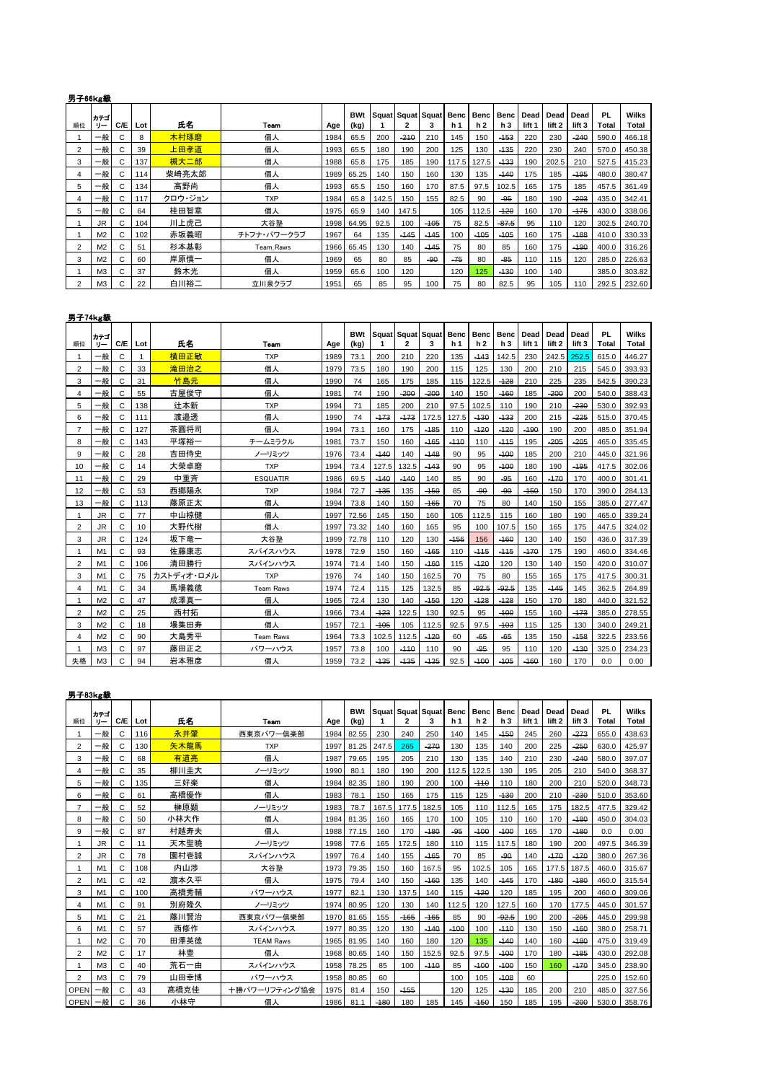## 男子66kg級

| 順位             | カテゴ<br>リー      | C/E | Lot | 氏名      | Team        | Age  | <b>BWt</b><br>(kg) |       |        | Squat Squat Squat<br>3 | Benc<br>h <sub>1</sub> | Benc<br>h 2 | <b>Benc</b><br>h 3 | Dead<br>lift <sub>1</sub> | Dead<br>lift <sub>2</sub> | Dead<br>lift 3 | <b>PL</b><br>Total | <b>Wilks</b><br>Total |
|----------------|----------------|-----|-----|---------|-------------|------|--------------------|-------|--------|------------------------|------------------------|-------------|--------------------|---------------------------|---------------------------|----------------|--------------------|-----------------------|
|                | 一般             | С   | 8   | 木村琢磨    | 個人          | 1984 | 65.5               | 200   | $-210$ | 210                    | 145                    | 150         | $-153$             | 220                       | 230                       | $-240$         | 590.0              | 466.18                |
| 2              | 一般             | С   | 39  | 上田孝道    | 個人          | 1993 | 65.5               | 180   | 190    | 200                    | 125                    | 130         | $-135$             | 220                       | 230                       | 240            | 570.0              | 450.38                |
| 3              | 一般             | C   | 137 | 槻大二郎    | 個人          | 1988 | 65.8               | 175   | 185    | 190                    | 117.5                  | 127.5       | $-133$             | 190                       | 202.5                     | 210            | 527.5              | 415.23                |
| 4              | 一般             | C   | 114 | 柴崎亮太郎   | 個人          | 1989 | 65.25              | 140   | 150    | 160                    | 130                    | 135         | $-140$             | 175                       | 185                       | $-195$         | 480.0              | 380.47                |
| 5              | 一般             | C   | 134 | 高野尚     | 個人          | 1993 | 65.5               | 150   | 160    | 170                    | 87.5                   | 97.5        | 102.5              | 165                       | 175                       | 185            | 457.5              | 361.49                |
| 4              | 一般             | C   | 117 | クロウ・ジョン | <b>TXP</b>  | 1984 | 65.8               | 142.5 | 150    | 155                    | 82.5                   | 90          | $-95$              | 180                       | 190                       | $-203$         | 435.0              | 342.41                |
| 5              | 一般             | C   | 64  | 桂田智章    | 個人          | 1975 | 65.9               | 140   | 147.5  |                        | 105                    | 112.5       | $-120$             | 160                       | 170                       | $-175$         | 430.0              | 338.06                |
|                | JR.            | C   | 104 | 川上虎己    | 大谷塾         | 1998 | 64.95              | 92.5  | 100    | $-105$                 | 75                     | 82.5        | $-87.5$            | 95                        | 110                       | 120            | 302.5              | 240.70                |
|                | M <sub>2</sub> | C   | 102 | 赤坂義昭    | チトフナ・パワークラブ | 1967 | 64                 | 135   | $-145$ | $-145$                 | 100                    | $-105$      | $-105$             | 160                       | 175                       | $-188$         | 410.0              | 330.33                |
| $\overline{2}$ | M <sub>2</sub> | C   | 51  | 杉本基彰    | Team Raws   | 1966 | 65.45              | 130   | 140    | $-145$                 | 75                     | 80          | 85                 | 160                       | 175                       | $-190$         | 400.0              | 316.26                |
| 3              | M <sub>2</sub> | C   | 60  | 岸原慎一    | 個人          | 1969 | 65                 | 80    | 85     | $-90$                  | $-75$                  | 80          | $-85$              | 110                       | 115                       | 120            | 285.0              | 226.63                |
|                | M3             | C   | 37  | 鈴木光     | 個人          | 1959 | 65.6               | 100   | 120    |                        | 120                    | 125         | $-130$             | 100                       | 140                       |                | 385.0              | 303.82                |
| $\overline{2}$ | M <sub>3</sub> | C   | 22  | 白川裕二    | 立川泉クラブ      | 1951 | 65                 | 85    | 95     | 100                    | 75                     | 80          | 82.5               | 95                        | 105                       | 110            | 292.5              | 232.60                |

#### 男子74kg級

|                | カテゴ            |     |     |            |                  |      | <b>BWt</b> |        | Squat Squat Squat |        | <b>Benc</b>    | <b>Benc</b>    | <b>Benc</b> | Dead              | <b>Dead</b> | Dead              | PL    | <b>Wilks</b> |
|----------------|----------------|-----|-----|------------|------------------|------|------------|--------|-------------------|--------|----------------|----------------|-------------|-------------------|-------------|-------------------|-------|--------------|
| 順位             | $0 -$          | C/E | Lot | 氏名         | Team             | Age  | (kg)       | 1      | $\overline{2}$    | 3      | h <sub>1</sub> | h <sub>2</sub> | h3          | lift <sub>1</sub> | lift 2      | lift <sub>3</sub> | Total | <b>Total</b> |
|                | 一般             | C   | 1   | 横田正敏       | <b>TXP</b>       | 1989 | 73.1       | 200    | 210               | 220    | 135            | $-143$         | 142.5       | 230               | 242.5       | 252.5             | 615.0 | 446.27       |
| $\overline{2}$ | 般              | C   | 33  | 滝田治之       | 個人               | 1979 | 73.5       | 180    | 190               | 200    | 115            | 125            | 130         | 200               | 210         | 215               | 545.0 | 393.93       |
| 3              | 一般             | C   | 31  | 竹島元        | 個人               | 1990 | 74         | 165    | 175               | 185    | 115            | 122.5          | $-128$      | 210               | 225         | 235               | 542.5 | 390.23       |
| 4              | 一般             | C   | 55  | 古屋俊守       | 個人               | 1981 | 74         | 190    | $-200$            | $-200$ | 140            | 150            | $-160$      | 185               | $-200$      | 200               | 540.0 | 388.43       |
| 5              | 般              | C   | 138 | 辻本新        | <b>TXP</b>       | 1994 | 71         | 185    | 200               | 210    | 97.5           | 102.5          | 110         | 190               | 210         | $-230$            | 530.0 | 392.93       |
| 6              | 一般             | C   | 111 | 渡邉透        | 個人               | 1990 | 74         | $-173$ | $-173$            | 172.5  | 127.5          | $-130$         | $-133$      | 200               | 215         | $-225$            | 515.0 | 370.45       |
| $\overline{7}$ | 一般             | C   | 127 | 茶圓将司       | 個人               | 1994 | 73.1       | 160    | 175               | $-185$ | 110            | $-120$         | $-120$      | $-190$            | 190         | 200               | 485.0 | 351.94       |
| 8              | 一般             | C   | 143 | 平塚裕一       | チームミラクル          | 1981 | 73.7       | 150    | 160               | $-165$ | $-110$         | 110            | $-115$      | 195               | $-205$      | $-205$            | 465.0 | 335.45       |
| 9              | 般              | C   | 28  | 吉田侍史       | ノーリミッツ           | 1976 | 73.4       | $-140$ | 140               | $-148$ | 90             | 95             | $-100$      | 185               | 200         | 210               | 445.0 | 321.96       |
| 10             | 一般             | C   | 14  | 大榮卓磨       | <b>TXP</b>       | 1994 | 73.4       | 127.5  | 132.5             | $-143$ | 90             | 95             | $-100$      | 180               | 190         | $-195$            | 417.5 | 302.06       |
| 11             | 一般             | C   | 29  | 中重斉        | <b>ESQUATIR</b>  | 1986 | 69.5       | $-140$ | $-140$            | 140    | 85             | 90             | $-95$       | 160               | $-170$      | 170               | 400.0 | 301.41       |
| 12             | 般              | C   | 53  | 西郷陽永       | <b>TXP</b>       | 1984 | 72.7       | $-135$ | 135               | $-150$ | 85             | $-90$          | $-90$       | $-150$            | 150         | 170               | 390.0 | 284.13       |
| 13             | 一般             | C   | 113 | 藤原正太       | 個人               | 1994 | 73.8       | 140    | 150               | $-165$ | 70             | 75             | 80          | 140               | 150         | 155               | 385.0 | 277.47       |
|                | JR.            | C   | 77  | 中山椋健       | 個人               | 1997 | 72.56      | 145    | 150               | 160    | 105            | 112.5          | 115         | 160               | 180         | 190               | 465.0 | 339.24       |
| $\overline{2}$ | <b>JR</b>      | C   | 10  | 大野代樹       | 個人               | 1997 | 73.32      | 140    | 160               | 165    | 95             | 100            | 107.5       | 150               | 165         | 175               | 447.5 | 324.02       |
| 3              | <b>JR</b>      | C   | 124 | 坂下竜一       | 大谷塾              | 1999 | 72.78      | 110    | 120               | 130    | $-456$         | 156            | $-160$      | 130               | 140         | 150               | 436.0 | 317.39       |
|                | M1             | C   | 93  | 佐藤康志       | スパイスハウス          | 1978 | 72.9       | 150    | 160               | $-165$ | 110            | $-115$         | $-115$      | $-170$            | 175         | 190               | 460.0 | 334.46       |
| $\overline{2}$ | M <sub>1</sub> | C   | 106 | 清田勝行       | スパインハウス          | 1974 | 71.4       | 140    | 150               | $-160$ | 115            | $-120$         | 120         | 130               | 140         | 150               | 420.0 | 310.07       |
| 3              | M1             | C   | 75  | カストディオ・ロメル | <b>TXP</b>       | 1976 | 74         | 140    | 150               | 162.5  | 70             | 75             | 80          | 155               | 165         | 175               | 417.5 | 300.31       |
| $\overline{4}$ | M1             | C   | 34  | 馬場義徳       | <b>Team Raws</b> | 1974 | 72.4       | 115    | 125               | 132.5  | 85             | $-92.5$        | $-92.5$     | 135               | $-145$      | 145               | 362.5 | 264.89       |
|                | M <sub>2</sub> | C   | 47  | 成澤真一       | 個人               | 1965 | 72.4       | 130    | 140               | $-150$ | 120            | $-128$         | $-128$      | 150               | 170         | 180               | 440.0 | 321.52       |
| $\overline{2}$ | M <sub>2</sub> | C   | 25  | 西村拓        | 個人               | 1966 | 73.4       | $-123$ | 122.5             | 130    | 92.5           | 95             | $-100$      | 155               | 160         | $-473$            | 385.0 | 278.55       |
| 3              | M <sub>2</sub> | C   | 18  | 場集田寿       | 個人               | 1957 | 72.1       | $-105$ | 105               | 112.5  | 92.5           | 97.5           | $-103$      | 115               | 125         | 130               | 340.0 | 249.21       |
| 4              | M <sub>2</sub> | C   | 90  | 大島秀平       | <b>Team Raws</b> | 1964 | 73.3       | 102.5  | 112.5             | $-120$ | 60             | $-65$          | $-65$       | 135               | 150         | $-458$            | 322.5 | 233.56       |
|                | M <sub>3</sub> | C   | 97  | 藤田正之       | パワーハウス           | 1957 | 73.8       | 100    | $-110$            | 110    | 90             | $-95$          | 95          | 110               | 120         | $-130$            | 325.0 | 234.23       |
| 失格             | M <sub>3</sub> | C   | 94  | 岩本雅彦       | 個人               | 1959 | 73.2       | $-135$ | $-135$            | $-135$ | 92.5           | $-100$         | $-105$      | $-160$            | 160         | 170               | 0.0   | 0.00         |

| 男子83kg級        |                |     |     |      |                  |      |                    |        |                        |        |                        |                               |                        |                |                |                |                    |                       |
|----------------|----------------|-----|-----|------|------------------|------|--------------------|--------|------------------------|--------|------------------------|-------------------------------|------------------------|----------------|----------------|----------------|--------------------|-----------------------|
| 順位             | カテゴ<br>$0 -$   | C/E | Lot | 氏名   | Team             | Age  | <b>BWt</b><br>(kg) |        | Squat Squat Squat<br>2 | 3      | Benc<br>h <sub>1</sub> | <b>Benc</b><br>h <sub>2</sub> | Benc<br>h <sub>3</sub> | Dead<br>lift 1 | Dead<br>lift 2 | Dead<br>lift 3 | <b>PL</b><br>Total | <b>Wilks</b><br>Total |
| 1              | 一般             | C   | 116 | 永井肇  | 西東京パワー倶楽部        | 1984 | 82.55              | 230    | 240                    | 250    | 140                    | 145                           | $-150$                 | 245            | 260            | $-273$         | 655.0              | 438.63                |
| $\overline{2}$ | 一般             | C   | 130 | 矢木龍馬 | <b>TXP</b>       | 1997 | 81.25              | 247.5  | 265                    | $-270$ | 130                    | 135                           | 140                    | 200            | 225            | $-250$         | 630.0              | 425.97                |
| 3              | 一般             | C   | 68  | 有道亮  | 個人               | 1987 | 79.65              | 195    | 205                    | 210    | 130                    | 135                           | 140                    | 210            | 230            | $-240$         | 580.0              | 397.07                |
| 4              | 一般             | C   | 35  | 柳川圭大 | ノーリミッツ           | 1990 | 80.1               | 180    | 190                    | 200    | 112.5                  | 122.5                         | 130                    | 195            | 205            | 210            | 540.0              | 368.37                |
| 5              | 一般             | C   | 135 | 三好楽  | 個人               | 1984 | 82.35              | 180    | 190                    | 200    | 100                    | $-110$                        | 110                    | 180            | 200            | 210            | 520.0              | 348.73                |
| 6              | 一般             | C   | 61  | 高橋優作 | 個人               | 1983 | 78.1               | 150    | 165                    | 175    | 115                    | 125                           | $-130$                 | 200            | 210            | $-230$         | 510.0              | 353.60                |
| $\overline{7}$ | 一般             | C   | 52  | 榊原顕  | ノーリミッツ           | 1983 | 78.7               | 167.5  | 177.5                  | 182.5  | 105                    | 110                           | 112.5                  | 165            | 175            | 182.5          | 477.5              | 329.42                |
| 8              | 一般             | C   | 50  | 小林大作 | 個人               | 1984 | 81.35              | 160    | 165                    | 170    | 100                    | 105                           | 110                    | 160            | 170            | $-180$         | 450.0              | 304.03                |
| 9              | 一般             | C   | 87  | 村越寿夫 | 個人               | 1988 | 77.15              | 160    | 170                    | $-180$ | $-95$                  | $-100$                        | $-100$                 | 165            | 170            | $-180$         | 0.0                | 0.00                  |
| 1              | JR.            | C   | 11  | 天木聖曉 | ノーリミッツ           | 1998 | 77.6               | 165    | 172.5                  | 180    | 110                    | 115                           | 117.5                  | 180            | 190            | 200            | 497.5              | 346.39                |
| $\overline{2}$ | JR.            | C   | 78  | 園村壱誠 | スパインハウス          | 1997 | 76.4               | 140    | 155                    | $-165$ | 70                     | 85                            | $-90$                  | 140            | $-170$         | $-170$         | 380.0              | 267.36                |
| 1              | M1             | C   | 108 | 内山渉  | 大谷塾              | 1973 | 79.35              | 150    | 160                    | 167.5  | 95                     | 102.5                         | 105                    | 165            | 177.5          | 187.5          | 460.0              | 315.67                |
| $\overline{2}$ | M1             | C   | 42  | 濵本久平 | 個人               | 1975 | 79.4               | 140    | 150                    | $-160$ | 135                    | 140                           | $-145$                 | 170            | $-180$         | $-180$         | 460.0              | 315.54                |
| 3              | M1             | C   | 100 | 高橋秀輔 | パワーハウス           | 1977 | 82.1               | 130    | 137.5                  | 140    | 115                    | $-120$                        | 120                    | 185            | 195            | 200            | 460.0              | 309.06                |
| 4              | M1             | C   | 91  | 別府降久 | ノーリミッツ           | 1974 | 80.95              | 120    | 130                    | 140    | 112.5                  | 120                           | 127.5                  | 160            | 170            | 177.5          | 445.0              | 301.57                |
| 5              | M1             | C   | 21  | 藤川賢治 | 西東京パワー倶樂部        | 1970 | 81.65              | 155    | $-165$                 | $-165$ | 85                     | 90                            | $-92.5$                | 190            | 200            | $-205$         | 445.0              | 299.98                |
| 6              | M1             | C   | 57  | 西修作  | スパインハウス          | 1977 | 80.35              | 120    | 130                    | $-140$ | $-100$                 | 100                           | $-110$                 | 130            | 150            | $-160$         | 380.0              | 258.71                |
| 1              | M <sub>2</sub> | C   | 70  | 田澤英徳 | <b>TEAM Raws</b> | 1965 | 81.95              | 140    | 160                    | 180    | 120                    | 135                           | $-140$                 | 140            | 160            | $-180$         | 475.0              | 319.49                |
| $\overline{2}$ | M <sub>2</sub> | C   | 17  | 林豊   | 個人               | 1968 | 80.65              | 140    | 150                    | 152.5  | 92.5                   | 97.5                          | $-100$                 | 170            | 180            | $-185$         | 430.0              | 292.08                |
| 1              | M <sub>3</sub> | C   | 40  | 荒石一由 | スパインハウス          | 1958 | 78.25              | 85     | 100                    | $-110$ | 85                     | $-100$                        | $-100$                 | 150            | 160            | $-170$         | 345.0              | 238.90                |
| $\overline{2}$ | M <sub>3</sub> | C   | 79  | 山田幸博 | パワーハウス           | 1958 | 80.85              | 60     |                        |        | 100                    | 105                           | $-108$                 | 60             |                |                | 225.0              | 152.60                |
| <b>OPEN</b>    | 一般             | C   | 43  | 髙橋克佳 | 十勝パワーリフティング協会    | 1975 | 81.4               | 150    | $-455$                 |        | 120                    | 125                           | $-130$                 | 185            | 200            | 210            | 485.0              | 327.56                |
| <b>OPEN</b>    | 一般             | C   | 36  | 小林守  | 個人               | 1986 | 81.1               | $-180$ | 180                    | 185    | 145                    | $-450$                        | 150                    | 185            | 195            | $-200$         | 530.0              | 358.76                |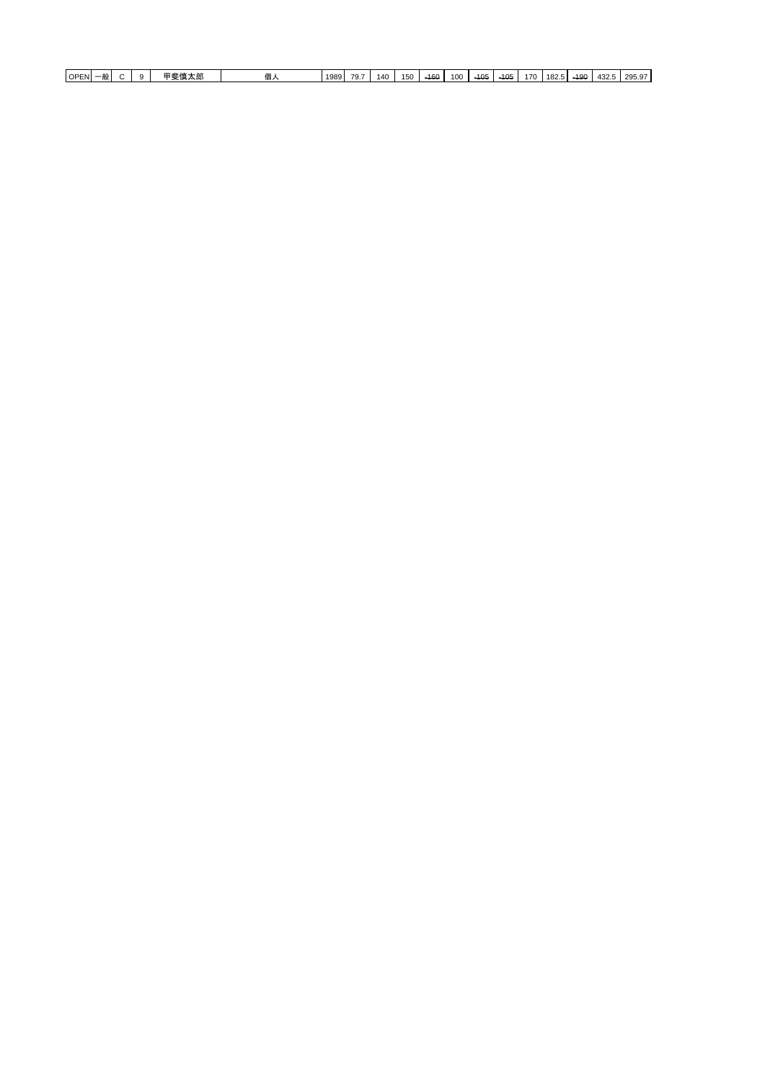| $-21$ and $-10$<br><b>OPEN</b><br>---<br>--<br>…… 人口<br>- 194<br>≕<br>н. | 1989 | 70.<br>$\mathbf{r}$ | 140 | 150<br>$\sim$ | $-160$ | 100 | $-405$ | 101<br>᠇ᠣᡄ | 170 | 0 <sup>0</sup><br>164 | $-40c$<br>roc | $\sqrt{2}$<br>434.G | .29507<br>, ت ت ت |
|--------------------------------------------------------------------------|------|---------------------|-----|---------------|--------|-----|--------|------------|-----|-----------------------|---------------|---------------------|-------------------|
|--------------------------------------------------------------------------|------|---------------------|-----|---------------|--------|-----|--------|------------|-----|-----------------------|---------------|---------------------|-------------------|